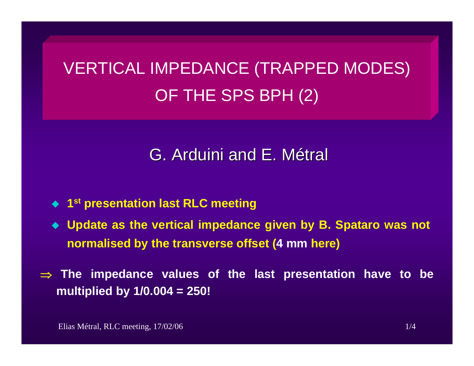# VERTICAL IMPEDANCE (TRAPPED MODES) OF THE SPS BPH (2)

## G. Arduini and E. Métral

- ◆ 1<sup>st</sup> presentation last RLC meeting
- **Update as the vertical impedance given by B. Spataro was not normalised by the transverse offset (4 mm here)**
- ⇒ **The impedance values of the last presentation have to be multiplied by 1/0.004 = 250!**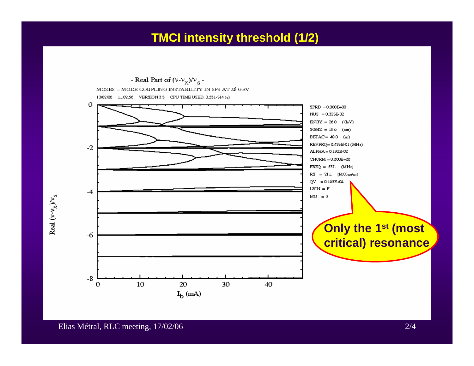### **TMCI intensity threshold (1/2)**

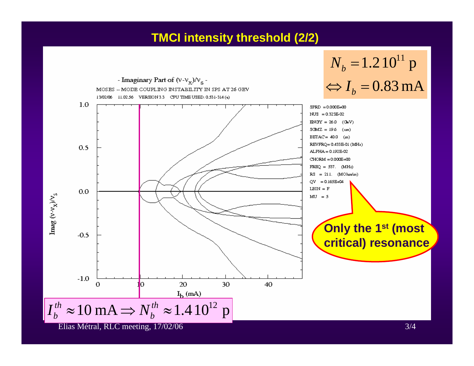#### **TMCI intensity threshold (2/2)**